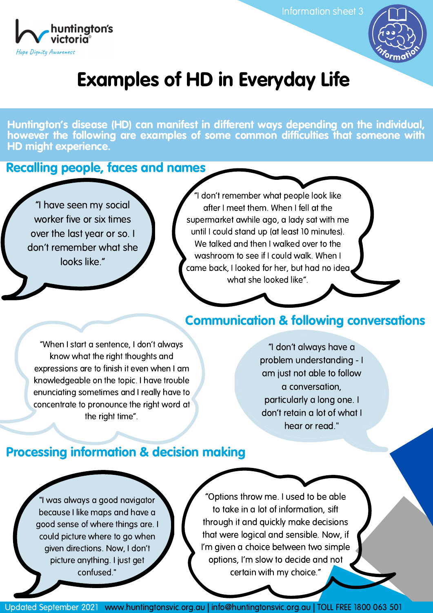Information sheet 3





## Examples of HD in Everyday Life

Huntington's disease (HD) can manifest in different ways depending on the individual, however the following are examples of some common difficulties that someone with HD might experience.

Recalling people, faces and names

"I have seen my social worker five or six times over the last year or so. I don't remember what she looks like."

"I don't remember what people look like after I meet them. When I fell at the supermarket awhile ago, a lady sat with me until I could stand up (at least 10 minutes). We talked and then I walked over to the washroom to see if I could walk. When I came back, I looked for her, but had no idea what she looked like".

#### Communication & following conversations

"When I start a sentence, I don't always know what the right thoughts and expressions are to finish it even when I am knowledgeable on the topic. I have trouble enunciating sometimes and I really have to concentrate to pronounce the right word at the right time".

"I don't always have a problem understanding - I am just not able to follow a conversation, particularly a long one. I don't retain a lot of what I hear or read."

### Processing information & decision making

"I was always a good navigator because I like maps and have a good sense of where things are. I could picture where to go when given directions. Now, I don't picture anything. I just get confused."

"Options throw me. I used to be able to take in a lot of information, sift through it and quickly make decisions that were logical and sensible. Now, if I'm given a choice between two simple options, I'm slow to decide and not certain with my choice."

Updated September 2021 www.huntingtonsvic.org.au | info@huntingtonsvic.org.au | TOLL FREE 1800 063 501